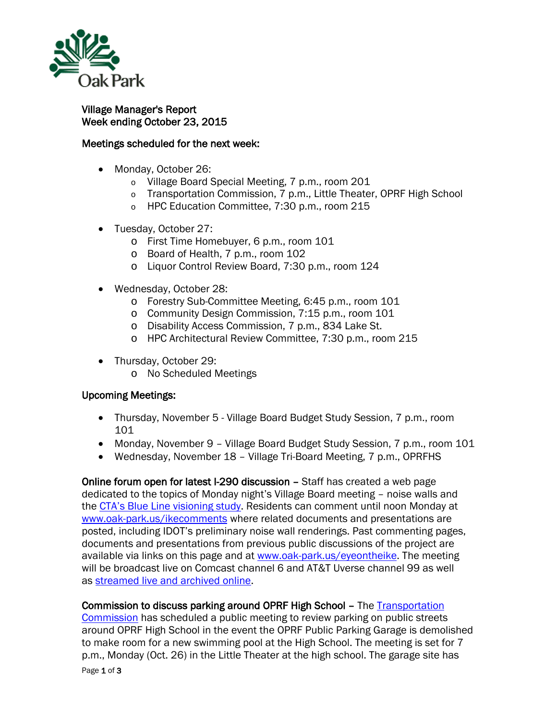

## Village Manager's Report Week ending October 23, 2015

## Meetings scheduled for the next week:

- Monday, October 26:
	- o Village Board Special Meeting, 7 p.m., room 201
	- o Transportation Commission, 7 p.m., Little Theater, OPRF High School
	- o HPC Education Committee, 7:30 p.m., room 215
- Tuesday, October 27:
	- o First Time Homebuyer, 6 p.m., room 101
	- o Board of Health, 7 p.m., room 102
	- o Liquor Control Review Board, 7:30 p.m., room 124
- Wednesday, October 28:
	- o Forestry Sub-Committee Meeting, 6:45 p.m., room 101
	- o Community Design Commission, 7:15 p.m., room 101
	- o Disability Access Commission, 7 p.m., 834 Lake St.
	- o HPC Architectural Review Committee, 7:30 p.m., room 215
- Thursday, October 29:
	- o No Scheduled Meetings

## Upcoming Meetings:

- Thursday, November 5 Village Board Budget Study Session, 7 p.m., room 101
- Monday, November 9 Village Board Budget Study Session, 7 p.m., room 101
- Wednesday, November 18 Village Tri-Board Meeting, 7 p.m., OPRFHS

Online forum open for latest I-290 discussion – Staff has created a web page dedicated to the topics of Monday night's Village Board meeting – noise walls and the [CTA's Blue Line visioning study.](http://www.transitchicago.com/blueweststudy/) Residents can comment until noon Monday at [www.oak-park.us/ikecomments](http://www.oak-park.us/ikecomments) where related documents and presentations are posted, including IDOT's preliminary noise wall renderings. Past commenting pages, documents and presentations from previous public discussions of the project are available via links on this page and at [www.oak-park.us/eyeontheike.](http://www.oak-park.us/eyeontheike) The meeting will be broadcast live on Comcast channel 6 and AT&T Uverse channel 99 as well as [streamed live and archived online.](http://r20.rs6.net/tn.jsp?f=001wqIcDwfplMlP3ha4RC20MNmWbRzN782kqbg-ja8hAjwHT0IYNBkp_lVHdQJpafFZk9fMhF2PURJccn_-02vNxT5in_uWT5gsTTDi8BgF5Gr1b906RirTYZ-KMd_REFFBvpEu8MR65D4RIo7YSPEi3tvo6BTPozcFBaHoejs-_J7bg-UBoeZ4OEnjx99OflUTDpkTnObLYcagwVGDN8wXjFn30zhLaQ48-v86M7cGanZArsk4ml9dAmeuxjq-uMBAaPPCsTNvdx8s1WnuCN50UqwFu-AfR90v-b4dRMrts-t-53Dd-aW6Cw==&c=jZWvemqBjx0JHMBpqVQMg0L7o8qvndeW6DfhqVZ7vXZOftq5bYkyeQ==&ch=3wRj_XyIpAE0tI2lg5-dIK_LWki1Agrpj6IRzFPtQNWr6CUi9bw5IQ==)

## Commission to discuss parking around OPRF High School - The Transportation

[Commission](http://r20.rs6.net/tn.jsp?f=001wqIcDwfplMlP3ha4RC20MNmWbRzN782kqbg-ja8hAjwHT0IYNBkp_hh47vzgwMRjrloAiVgHw688bA5VxNTIRFKA4imOgovagB5hbEU4qhGa6n7UuNJ9HNyKB_6dRIAyjBSf8383KJl8EYBgb-gOvhAKb-CS-frRFX204NH7l732No83ThubqbsdRoiRfZtt0ZAsQvZqeN6cD06gShRSUHjTwwzifyY1KyK_dS3NggCP6ymyz3JkveBfMX0mgmgb1_9R2fntJ-FN36J2mk-XfRHxSDuxNeIfdqmiq8qY9xsNgIZjCr_ER2Yhg6MEIR8uZRIRPNQdBVdgEb42Jq-w04hVyaFpIz_PP6C48whekqk=&c=jZWvemqBjx0JHMBpqVQMg0L7o8qvndeW6DfhqVZ7vXZOftq5bYkyeQ==&ch=3wRj_XyIpAE0tI2lg5-dIK_LWki1Agrpj6IRzFPtQNWr6CUi9bw5IQ==) has scheduled a public meeting to review parking on public streets around OPRF High School in the event the OPRF Public Parking Garage is demolished to make room for a new swimming pool at the High School. The meeting is set for 7 p.m., Monday (Oct. 26) in the Little Theater at the high school. The garage site has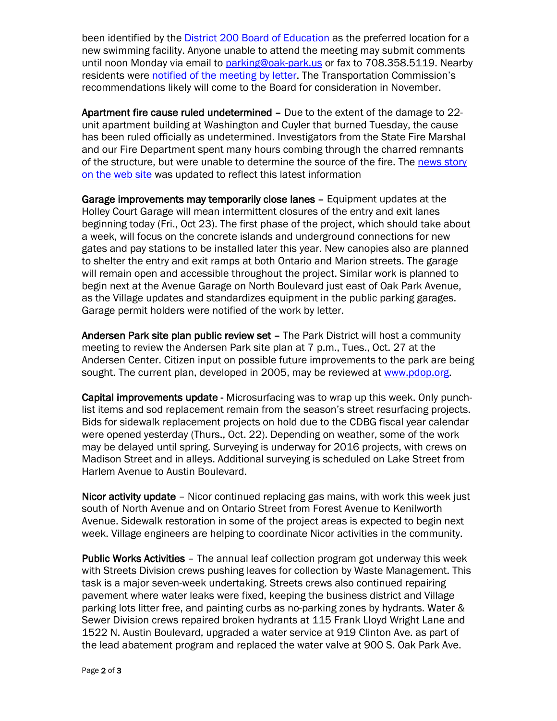been identified by the [District 200 Board of Education](http://r20.rs6.net/tn.jsp?f=001wqIcDwfplMlP3ha4RC20MNmWbRzN782kqbg-ja8hAjwHT0IYNBkp_mkD3p2bwKyempToMAIWwRa4h5G6gxr6bVhb_nrOLghGhBNy9W6M15gvmgUGbSk134wGagz2EBAQLZjhrnNbtHekz6KRL4Z_qJtFhOrF5izMk4LPBZxPoKowieTelmXn7GG0D10d4g2S44jXinaQkprxq_GhxwZ2U-muj8Y4HB1pShfUJJwDPzk6K0OcdH5nDfm08blKmSdTqTX9MN5wNCSY69YqG_2iHKXWJv5lvnSYnpkuBxVsOweOqn8qmYCcjIZJmIG04m49&c=jZWvemqBjx0JHMBpqVQMg0L7o8qvndeW6DfhqVZ7vXZOftq5bYkyeQ==&ch=3wRj_XyIpAE0tI2lg5-dIK_LWki1Agrpj6IRzFPtQNWr6CUi9bw5IQ==) as the preferred location for a new swimming facility. Anyone unable to attend the meeting may submit comments until noon Monday via email to [parking@oak-park.us](mailto:parking@oak-park.us) or fax to 708.358.5119. Nearby residents were [notified of the meeting by letter.](http://www.oak-park.us/sites/default/files/456678891/2015-10-16-transportation-commission-meeting-letter.pdf) The Transportation Commission's recommendations likely will come to the Board for consideration in November.

Apartment fire cause ruled undetermined – Due to the extent of the damage to 22 unit apartment building at Washington and Cuyler that burned Tuesday, the cause has been ruled officially as undetermined. Investigators from the State Fire Marshal and our Fire Department spent many hours combing through the charred remnants of the structure, but were unable to determine the source of the fire. The [news story](http://www.oak-park.us/news/no-injuries-reported-22-unit-apartment-building-fire)  [on the web site](http://www.oak-park.us/news/no-injuries-reported-22-unit-apartment-building-fire) was updated to reflect this latest information

Garage improvements may temporarily close lanes – Equipment updates at the Holley Court Garage will mean intermittent closures of the entry and exit lanes beginning today (Fri., Oct 23). The first phase of the project, which should take about a week, will focus on the concrete islands and underground connections for new gates and pay stations to be installed later this year. New canopies also are planned to shelter the entry and exit ramps at both Ontario and Marion streets. The garage will remain open and accessible throughout the project. Similar work is planned to begin next at the Avenue Garage on North Boulevard just east of Oak Park Avenue, as the Village updates and standardizes equipment in the public parking garages. Garage permit holders were notified of the work by letter.

Andersen Park site plan public review set - The Park District will host a community meeting to review the Andersen Park site plan at 7 p.m., Tues., Oct. 27 at the Andersen Center. Citizen input on possible future improvements to the park are being sought. The current plan, developed in 2005, may be reviewed at [www.pdop.org.](http://www.pdop.org/)

Capital improvements update - Microsurfacing was to wrap up this week. Only punchlist items and sod replacement remain from the season's street resurfacing projects. Bids for sidewalk replacement projects on hold due to the CDBG fiscal year calendar were opened yesterday (Thurs., Oct. 22). Depending on weather, some of the work may be delayed until spring. Surveying is underway for 2016 projects, with crews on Madison Street and in alleys. Additional surveying is scheduled on Lake Street from Harlem Avenue to Austin Boulevard.

Nicor activity update - Nicor continued replacing gas mains, with work this week just south of North Avenue and on Ontario Street from Forest Avenue to Kenilworth Avenue. Sidewalk restoration in some of the project areas is expected to begin next week. Village engineers are helping to coordinate Nicor activities in the community.

Public Works Activities – The annual leaf collection program got underway this week with Streets Division crews pushing leaves for collection by Waste Management. This task is a major seven-week undertaking. Streets crews also continued repairing pavement where water leaks were fixed, keeping the business district and Village parking lots litter free, and painting curbs as no-parking zones by hydrants. Water & Sewer Division crews repaired broken hydrants at 115 Frank Lloyd Wright Lane and 1522 N. Austin Boulevard, upgraded a water service at 919 Clinton Ave. as part of the lead abatement program and replaced the water valve at 900 S. Oak Park Ave.